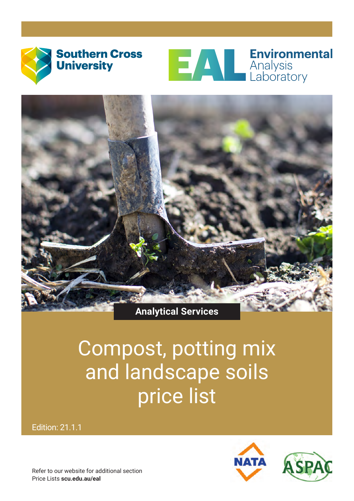



**Environmental** 



### **Analytical Services**

## Compost, potting mix and landscape soils price list

Edition: 21.1.1



Refer to our website for additional section Price Lists **[scu.edu.au/eal]( https://www.scu.edu.au/environmental-analysis-laboratory---eal/document-downloads/)**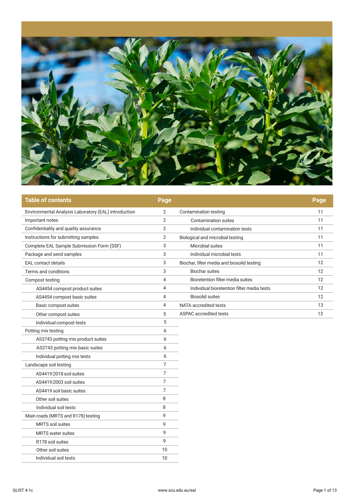

| <b>Table of contents</b>                             | Page           |                                            | Page |
|------------------------------------------------------|----------------|--------------------------------------------|------|
| Environmental Analysis Laboratory (EAL) introduction | 2              | Contamination testing                      | 11   |
| Important notes                                      | $\overline{2}$ | <b>Contamination suites</b>                | 11   |
| Confidentiality and quality assurance                | 2              | Individual contamination tests             | 11   |
| Instructions for submitting samples                  | $\overline{2}$ | Biological and microbial testing           | 11   |
| Complete EAL Sample Submission Form (SSF)            | 3              | Microbial suites                           | 11   |
| Package and send samples                             | 3              | Individual microbial tests                 | 11   |
| <b>EAL</b> contact details                           | 3              | Biochar, filter media and biosolid testing | 12   |
| Terms and conditions                                 | 3              | <b>Biochar suites</b>                      | 12   |
| Compost testing                                      | 4              | Bioretention filter media suites           | 12   |
| AS4454 compost product suites                        | 4              | Individual bioretention filter media tests | 12   |
| AS4454 compost basic suites                          | 4              | <b>Biosolid suites</b>                     | 12   |
| Basic compost suites                                 | 4              | NATA accredited tests                      | 13   |
| Other compost suites                                 | 5              | ASPAC accredited tests                     | 13   |
| Individual compost tests                             | 5              |                                            |      |
| Potting mix testing                                  | 6              |                                            |      |
| AS3743 potting mix product suites                    | 6              |                                            |      |
| AS3743 potting mix basic suites                      | 6              |                                            |      |
| Individual potting mix tests                         | 6              |                                            |      |
| Landscape soil testing                               | 7              |                                            |      |
| AS4419:2018 soil suites                              | 7              |                                            |      |
| AS4419:2003 soil suites                              | 7              |                                            |      |
| AS4419 soil basic suites                             | 7              |                                            |      |
| Other soil suites                                    | 8              |                                            |      |
| Individual soil tests                                | 8              |                                            |      |
| Main roads (MRTS and R178) testing                   | 9              |                                            |      |
| MRTS soil suites                                     | 9              |                                            |      |
| <b>MRTS</b> water suites                             | 9              |                                            |      |
| R178 soil suites                                     | 9              |                                            |      |
| Other soil suites                                    | 10             |                                            |      |
| Individual soil tests                                | 10             |                                            |      |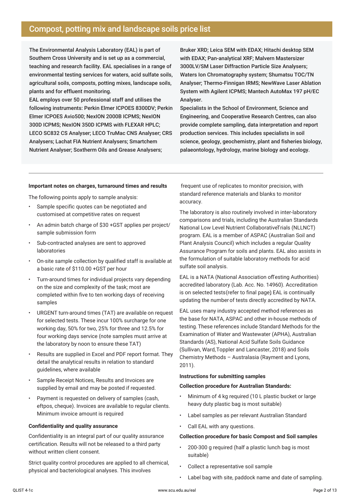#### Compost, potting mix and landscape soils price list

The Environmental Analysis Laboratory (EAL) is part of Southern Cross University and is set up as a commercial, teaching and research facility. EAL specialises in a range of environmental testing services for waters, acid sulfate soils, agricultural soils, composts, potting mixes, landscape soils, plants and for effluent monitoring.

EAL employs over 50 professional staff and utilises the following instruments: Perkin Elmer ICPOES 8300DV; Perkin Elmer ICPOES Avio500; NexION 2000B ICPMS; NexION 300D ICPMS; NexION 350D ICPMS with FLEXAR HPLC; LECO SC832 CS Analyser; LECO TruMac CNS Analyser; CRS Analysers; Lachat FIA Nutrient Analysers; Smartchem Nutrient Analyser; Soxtherm Oils and Grease Analysers;

Bruker XRD; Leica SEM with EDAX; Hitachi desktop SEM with EDAX; Pan-analytical XRF; Malvern Mastersizer 3000LV/SM Laser Diffraction Particle Size Analysers; Waters Ion Chromatography system; Shumatsu TOC/TN Analyser; Thermo-Finnigan IRMS; NewWave Laser Ablation System with Agilent ICPMS; Mantech AutoMax 197 pH/EC Analyser.

Specialists in the School of Environment, Science and Engineering, and Cooperative Research Centres, can also provide complete sampling, data interpretation and report production services. This includes specialists in soil science, geology, geochemistry, plant and fisheries biology, palaeontology, hydrology, marine biology and ecology.

#### **Important notes on charges, turnaround times and results**

The following points apply to sample analysis:

- Sample specific quotes can be negotiated and customised at competitive rates on request
- An admin batch charge of \$30 +GST applies per project/ sample submission form
- Sub-contracted analyses are sent to approved laboratories
- On-site sample collection by qualified staff is available at a basic rate of \$110.00 +GST per hour
- Turn-around times for individual projects vary depending on the size and complexity of the task; most are completed within five to ten working days of receiving samples
- URGENT turn-around times (TAT) are available on request for selected tests. These incur 100% surcharge for one working day, 50% for two, 25% for three and 12.5% for four working days service (note samples must arrive at the laboratory by noon to ensure these TAT)
- Results are supplied in Excel and PDF report format. They detail the analytical results in relation to standard guidelines, where available
- Sample Receipt Notices, Results and Invoices are supplied by email and may be posted if requested.
- Payment is requested on delivery of samples (cash, eftpos, cheque). Invoices are available to regular clients. Minimum invoice amount is required

#### **Confidentiality and quality assurance**

Confidentiality is an integral part of our quality assurance certification. Results will not be released to a third party without written client consent.

Strict quality control procedures are applied to all chemical, physical and bacteriological analyses. This involves

 frequent use of replicates to monitor precision, with standard reference materials and blanks to monitor accuracy.

The laboratory is also routinely involved in inter-laboratory comparisons and trials, including the Australian Standards National Low Level Nutrient Collaborative Trials (NLLNCT) program. EAL is a member of ASPAC (Australian Soil and Plant Analysis Council) which includes a regular Quality Assurance Program for soils and plants. EAL also assists in the formulation of suitable laboratory methods for acid sulfate soil analysis.

EAL is a NATA (National Association of Testing Authorities) accredited laboratory (Lab. Acc. No. 14960). Accreditation is on selected tests (refer to final page) EAL is continually updating the number of tests directly accredited by NATA.

EAL uses many industry accepted method references as the base for NATA, ASPAC and other in-house methods of testing. These references include Standard Methods for the Examination of Water and Wastewater (APHA), Australian Standards (AS), National Acid Sulfate Soils Guidance (Sullivan, Ward, Toppler and Lancaster, 2018) and Soils Chemistry Methods – Australasia (Rayment and Lyons, 2011).

#### **Instructions for submitting samples**

#### **Collection procedure for Australian Standards:**

- Minimum of 4 kg required (10 L plastic bucket or large heavy duty plastic bag is most suitable)
- Label samples as per relevant Australian Standard
- Call EAL with any questions.

#### **Collection procedure for basic Compost and Soil samples**

- 200-300 g required (half a plastic lunch bag is most suitable)
- Collect a representative soil sample
- Label bag with site, paddock name and date of sampling.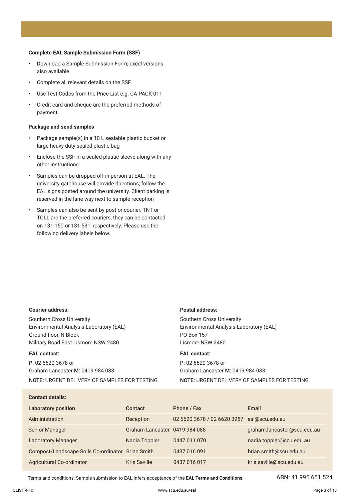#### **Complete EAL Sample Submission Form (SSF)**

- Download a [Sample Submission Form;](https://www.scu.edu.au/media/scueduau/eal/submissions/Sample-Submission-Form.pdf) excel versions also available
- Complete all relevant details on the SSF
- Use Test Codes from the Price List e.g. CA-PACK-011
- Credit card and cheque are the preferred methods of payment.

#### **Package and send samples**

- Package sample(s) in a 10 L sealable plastic bucket or large heavy duty sealed plastic bag
- Enclose the SSF in a sealed plastic sleeve along with any other instructions
- Samples can be dropped off in person at EAL. The university gatehouse will provide directions; follow the EAL signs posted around the university. Client parking is reserved in the lane way next to sample reception
- Samples can also be sent by post or courier. TNT or TOLL are the preferred couriers, they can be contacted on 131 150 or 131 531, respectively. Please use the following delivery labels below.

#### **Courier address:**

Southern Cross University Environmental Analysis Laboratory (EAL) Ground floor, N Block Military Road East Lismore NSW 2480

#### **EAL contact:**

P: 02 6620 3678 or Graham Lancaster M: 0419 984 088 NOTE: URGENT DELIVERY OF SAMPLES FOR TESTING

#### **Postal address:**

Southern Cross University Environmental Analysis Laboratory (EAL) PO Box 157 Lismore NSW 2480

#### **EAL contact:**

P: 02 6620 3678 or Graham Lancaster M: 0419 984 088 NOTE: URGENT DELIVERY OF SAMPLES FOR TESTING

#### **Contact details:**

| <b>Laboratory position</b>                       | Contact                       | Phone / Fax                 | Email                       |
|--------------------------------------------------|-------------------------------|-----------------------------|-----------------------------|
| Administration                                   | Reception                     | 02 6620 3678 / 02 6620 3957 | eal@scu.edu.au              |
| <b>Senior Manager</b>                            | Graham Lancaster 0419 984 088 |                             | graham.lancaster@scu.edu.au |
| <b>Laboratory Manager</b>                        | Nadia Toppler                 | 0447 011 070                | nadia.toppler@scu.edu.au    |
| Compost/Landscape Soils Co-ordinator Brian Smith |                               | 0437 016 091                | brian.smith@scu.edu.au      |
| <b>Agricultural Co-ordinator</b>                 | <b>Kris Saville</b>           | 0437 016 017                | kris.saville@scu.edu.au     |

[Terms and conditions:](https://www.scu.edu.au/media/scueduau/eal/documents/EAL-Laboratory-Services-Terms-and-Conditions-FINAL.pdf) Sample submission to EAL infers acceptance of the **[EAL Terms and Conditions](https://www.scu.edu.au/media/scueduau/eal/documents/EAL-Laboratory-Services-Terms-and-Conditions-FINAL.pdf)**. ABN: 41 995 651 524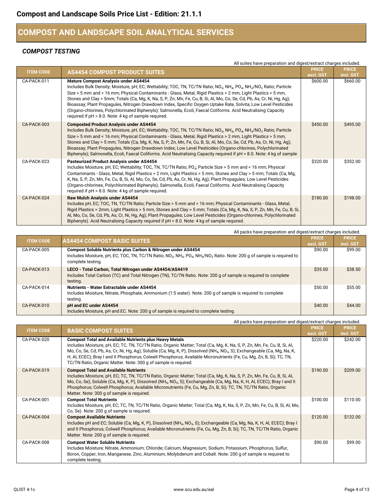#### **COMPOST AND LANDSCAPE SOIL ANALYTICAL SERVICES**

#### *COMPOST TESTING*

|                  | All suites have preparation and digest/extract charges included.                                                                                                                                                                                                                                                                                                                                                                                                                                                                                                                                                                                                                                                                                                   |              |              |
|------------------|--------------------------------------------------------------------------------------------------------------------------------------------------------------------------------------------------------------------------------------------------------------------------------------------------------------------------------------------------------------------------------------------------------------------------------------------------------------------------------------------------------------------------------------------------------------------------------------------------------------------------------------------------------------------------------------------------------------------------------------------------------------------|--------------|--------------|
| <b>ITEM CODE</b> | <b>AS4454 COMPOST PRODUCT SUITES</b>                                                                                                                                                                                                                                                                                                                                                                                                                                                                                                                                                                                                                                                                                                                               | <b>PRICE</b> | <b>PRICE</b> |
|                  |                                                                                                                                                                                                                                                                                                                                                                                                                                                                                                                                                                                                                                                                                                                                                                    | excl. GST    | incl. GST    |
| CA-PACK-011      | Mature Compost Analysis under AS4454<br>Includes Bulk Density; Moisture, pH, EC; Wettability; TOC, TN, TC/TN Ratio; NO <sub>3</sub> , NH <sub>4</sub> , PO <sub>4</sub> , NH <sub>4</sub> /NO <sub>3</sub> Ratio; Particle<br>Size > 5 mm and < 16 mm; Physical Contaminants - Glass, Metal, Rigid Plastics > 2 mm, Light Plastics > 5 mm,<br>Stones and Clay > 5mm; Totals (Ca, Mg, K, Na, S, P, Zn, Mn, Fe, Cu, B, Si, Al, Mo, Co, Se, Cd, Pb, As, Cr, Ni, Hg, Ag);<br>Bioassay; Plant Propagules, Nitrogen Drawdown Index, Specific Oxygen Uptake Rate, Solvita; Low Level Pesticides<br>(Organo-chlorines, Polychlorinated Biphenyls); Salmonella, Ecoli, Faecal Coliforms. Acid Neutralising Capacity<br>required if pH > 8.0. Note: 4 kg of sample required. | \$600.00     | \$660.00     |
| CA-PACK-003      | <b>Composted Product Analysis under AS4454</b><br>Includes Bulk Density; Moisture, pH, EC; Wettability; TOC, TN, TC/TN Ratio; NO <sub>3</sub> , NH <sub>4</sub> , PO <sub>4</sub> , NH <sub>4</sub> /NO <sub>3</sub> Ratio; Particle<br>Size > 5 mm and < 16 mm; Physical Contaminants - Glass, Metal, Rigid Plastics > 2 mm, Light Plastics > 5 mm,<br>Stones and Clay > 5 mm; Totals (Ca, Mg, K, Na, S, P, Zn, Mn, Fe, Cu, B, Si, Al, Mo, Co, Se, Cd, Pb, As, Cr, Ni, Hg, Ag);<br>Bioassay; Plant Propagules, Nitrogen Drawdown Index; Low Level Pesticides (Organo-chlorines, Polychlorinated<br>Biphenyls); Salmonella, Ecoli, Faecal Coliforms. Acid Neutralising Capacity required if pH > 8.0. Note: 4 kg of sample                                         | \$450.00     | \$495.00     |
| CA-PACK-023      | Pasteurized Product Analysis under AS4454<br>Includes Moisture, pH, EC; Wettability; TOC, TN, TC/TN Ratio; PO <sub>4</sub> ; Particle Size > 5 mm and < 16 mm; Physical<br>Contaminants - Glass, Metal, Rigid Plastics > 2 mm, Light Plastics > 5 mm, Stones and Clay > 5 mm; Totals (Ca, Mg,<br>K, Na, S, P, Zn, Mn, Fe, Cu, B, Si, Al, Mo, Co, Se, Cd, Pb, As, Cr, Ni, Hg, Ag); Plant Propagules; Low Level Pesticides<br>(Organo-chlorines, Polychlorinated Biphenyls); Salmonella, Ecoli, Faecal Coliforms. Acid Neutralising Capacity<br>required if pH > 8.0. Note: 4 kg of sample required.                                                                                                                                                                 | \$320.00     | \$352.00     |
| CA-PACK-024      | Raw Mulch Analysis under AS4454<br>Includes pH, EC; TOC, TN, TC/TN Ratio; Particle Size > 5 mm and < 16 mm; Physical Contaminants - Glass, Metal,<br>Rigid Plastics > 2mm, Light Plastics > 5 mm, Stones and Clay > 5 mm; Totals (Ca, Mg, K, Na, S, P, Zn, Mn, Fe, Cu, B, Si,<br>Al, Mo, Co, Se, Cd, Pb, As, Cr, Ni, Hg, Ag); Plant Propagules; Low Level Pesticides (Organo-chlorines, Polychlorinated<br>Biphenyls). Acid Neutralising Capacity required if pH > 8.0. Note: 4 kg of sample required.                                                                                                                                                                                                                                                             | \$180.00     | \$198.00     |

All packs have preparation and digest/extract charges included.

| <b>ITEM CODE</b> | <b>AS4454 COMPOST BASIC SUITES</b>                                                                                                                                                                                                                                        | <b>PRICE</b> | <b>PRICE</b> |
|------------------|---------------------------------------------------------------------------------------------------------------------------------------------------------------------------------------------------------------------------------------------------------------------------|--------------|--------------|
|                  |                                                                                                                                                                                                                                                                           | excl. GST    | incl. GST    |
| CA-PACK-005      | Compost Soluble Nutrients plus Carbon & Nitrogen under AS4454<br>Includes Moisture, pH, EC; TOC, TN, TC/TN Ratio; NO <sub>3</sub> , NH <sub>4</sub> , PO <sub>4</sub> , NH <sub>4</sub> /NO <sub>3</sub> Ratio. Note: 200 g of sample is required to<br>complete testing. | \$90.00      | \$99.00      |
| CA-PACK-013      | LECO - Total Carbon, Total Nitrogen under AS4454/AS4419<br>Includes Total Carbon (TC) and Total Nitrogen (TN), TC/TN Ratio. Note: 200 g of sample is required to complete<br>testing.                                                                                     | \$35.00      | \$38.50      |
| CA-PACK-014      | Nutrients - Water Extractable under AS4454<br>Includes Moisture, Nitrate, Phosphate, Ammonium (1:5 water). Note: 200 g of sample is required to complete<br>testing.                                                                                                      | \$50.00      | \$55.00      |
| CA-PACK-010      | pH and EC under AS4454<br>Includes Moisture, pH and EC. Note: 200 g of sample is required to complete testing.                                                                                                                                                            | \$40.00      | \$44.00      |

|                  | All packs have preparation and digest/extract charges included.                                                                                                                                                                                                                                                                                                                                                                                                                                                                                               |                       |                       |
|------------------|---------------------------------------------------------------------------------------------------------------------------------------------------------------------------------------------------------------------------------------------------------------------------------------------------------------------------------------------------------------------------------------------------------------------------------------------------------------------------------------------------------------------------------------------------------------|-----------------------|-----------------------|
| <b>ITEM CODE</b> | <b>BASIC COMPOST SUITES</b>                                                                                                                                                                                                                                                                                                                                                                                                                                                                                                                                   | <b>PRICE</b>          | <b>PRICE</b>          |
| CA-PACK-020      | <b>Compost Total and Available Nutrients plus Heavy Metals</b><br>Includes Moisture, pH, EC; TC, TN, TC/TN Ratio, Organic Matter; Total (Ca, Mg, K, Na, S, P, Zn, Mn, Fe, Cu, B, Si, Al,<br>Mo, Co, Se, Cd, Pb, As, Cr, Ni, Hg, Ag); Soluble (Ca, Mg, K, P), Dissolved (NH <sub>4</sub> , NO <sub>3</sub> , S); Exchangeable (Ca, Mg, Na, K,<br>H, AI, ECEC); Bray I and II Phosphorus; Colwell Phosphorus; Available Micronutrients (Fe, Cu, Mg, Zn, B, Si); TC, TN,                                                                                         | excl. GST<br>\$220.00 | incl. GST<br>\$242.00 |
| CA-PACK-019      | TC/TN Ratio, Organic Matter. Note: 300 g of sample is required.<br><b>Compost Total and Available Nutrients</b><br>Includes Moisture, pH, EC; TC, TN, TC/TN Ratio, Organic Matter; Total (Ca, Mg, K, Na, S, P, Zn, Mn, Fe, Cu, B, Si, Al,<br>Mo, Co, Se); Soluble (Ca, Mg, K, P), Dissolved (NH <sub>4</sub> , NO <sub>3</sub> , S); Exchangeable (Ca, Mg, Na, K, H, Al, ECEC); Bray I and II<br>Phosphorus; Colwell Phosphorus; Available Micronutrients (Fe, Cu, Mg, Zn, B, Si); TC, TN, TC/TN Ratio, Organic<br>Matter. Note: 300 g of sample is required. | \$190.00              | \$209.00              |
| CA-PACK-001      | <b>Compost Total Nutrients</b><br>Includes Moisture, pH, EC; TC, TN, TC/TN Ratio, Organic Matter; Total (Ca, Mg, K, Na, S, P, Zn, Mn, Fe, Cu, B, Si, Al, Mo,<br>Co, Se). Note: 200 g of sample is required.                                                                                                                                                                                                                                                                                                                                                   | \$100.00              | \$110.00              |
| CA-PACK-004      | <b>Compost Available Nutrients</b><br>Includes pH and EC; Soluble (Ca, Mg, K, P), Dissolved (NH <sub>4</sub> , NO <sub>3</sub> , S); Exchangeable (Ca, Mg, Na, K, H, Al, ECEC); Bray I<br>and II Phosphorus; Colwell Phosphorus; Available Micronutrients (Fe, Cu, Mg, Zn, B, Si); TC, TN, TC/TN Ratio, Organic<br>Matter. Note: 200 g of sample is required.                                                                                                                                                                                                 | \$120.00              | \$132.00              |
| CA-PACK-008      | <b>Compost Water Soluble Nutrients</b><br>Includes Moisture; Nitrate, Ammonium; Chloride; Calcium, Magnesium, Sodium, Potassium, Phosphorus, Sulfur,<br>Boron, Copper, Iron, Manganese, Zinc, Aluminium, Molybdenum and Cobalt. Note: 200 g of sample is required to<br>complete testing.                                                                                                                                                                                                                                                                     | \$90.00               | \$99.00               |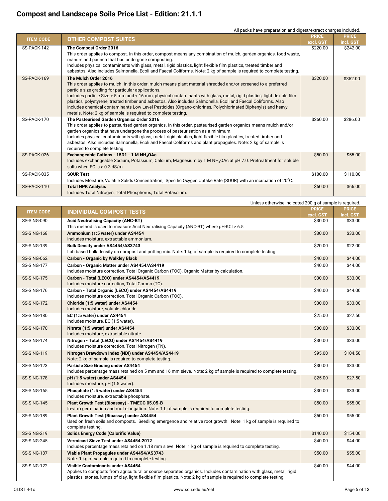| <b>ITEM CODE</b> | All packs have preparation and digest/extract charges included.<br><b>OTHER COMPOST SUITES</b>                                                                                                                                                                                                                                                                                                                                                                                                                                                                                                                            | <b>PRICE</b> | <b>PRICE</b> |
|------------------|---------------------------------------------------------------------------------------------------------------------------------------------------------------------------------------------------------------------------------------------------------------------------------------------------------------------------------------------------------------------------------------------------------------------------------------------------------------------------------------------------------------------------------------------------------------------------------------------------------------------------|--------------|--------------|
|                  |                                                                                                                                                                                                                                                                                                                                                                                                                                                                                                                                                                                                                           | excl. GST    | incl. GST    |
| SS-PACK-142      | The Compost Order 2016<br>This order applies to compost. In this order, compost means any combination of mulch, garden organics, food waste,<br>manure and paunch that has undergone composting.<br>Includes physical contaminants with glass, metal, rigid plastics, light flexible film plastics, treated timber and<br>asbestos. Also includes Salmonella, Ecoli and Faecal Coliforms. Note: 2 kg of sample is required to complete testing.                                                                                                                                                                           | \$220.00     | \$242.00     |
| SS-PACK-169      | The Mulch Order 2016<br>This order applies to mulch. In this order, mulch means plant material shredded and/or screened to a preferred<br>particle size grading for particular applications.<br>Includes particle Size > 5 mm and < 16 mm, physical contaminants with glass, metal, rigid plastics, light flexible film<br>plastics, polystyrene, treated timber and asbestos. Also includes Salmonella, Ecoli and Faecal Coliforms. Also<br>includes chemical contaminants Low Level Pesticides (Organo-chlorines, Polychlorinated Biphenyls) and heavy<br>metals. Note: 2 kg of sample is required to complete testing. | \$320.00     | \$352.00     |
| SS-PACK-170      | The Pasteurised Garden Organics Order 2016<br>This order applies to pasteurised garden organics. In this order, pasteurised garden organics means mulch and/or<br>garden organics that have undergone the process of pasteurisation as a minimum.<br>Includes physical contaminants with glass, metal, rigid plastics, light flexible film plastics, treated timber and<br>asbestos. Also includes Salmonella, Ecoli and Faecal Coliforms and plant propagules. Note: 2 kg of sample is<br>required to complete testing.                                                                                                  | \$260.00     | \$286.00     |
| SS-PACK-026      | Exchangeable Cations - 15D1 - 1 M NH <sub>4</sub> OAc<br>Includes exchangeable Sodium, Potassium, Calcium, Magnesium by 1 M NH <sub>4</sub> OAc at pH 7.0. Pretreatment for soluble<br>salts when EC is $> 0.3$ dS/m.                                                                                                                                                                                                                                                                                                                                                                                                     | \$50.00      | \$55.00      |
| SS-PACK-035      | <b>SOUR Test</b><br>Includes Moisture, Volatile Solids Concentration, Specific Oxygen Uptake Rate (SOUR) with an incubation of 20°C.                                                                                                                                                                                                                                                                                                                                                                                                                                                                                      | \$100.00     | \$110.00     |
| SS-PACK-110      | <b>Total NPK Analysis</b><br>Includes Total Nitrogen, Total Phosphorus, Total Potassium.                                                                                                                                                                                                                                                                                                                                                                                                                                                                                                                                  | \$60.00      | \$66.00      |

|                  | Unless otherwise indicated 200 g of sample is required.                                                                                                                                                                                                                          |                           |                           |
|------------------|----------------------------------------------------------------------------------------------------------------------------------------------------------------------------------------------------------------------------------------------------------------------------------|---------------------------|---------------------------|
| <b>ITEM CODE</b> | <b>INDIVIDUAL COMPOST TESTS</b>                                                                                                                                                                                                                                                  | <b>PRICE</b><br>excl. GST | <b>PRICE</b><br>incl. GST |
| SS-SING-090      | <b>Acid Neutralising Capacity (ANC-BT)</b><br>This method is used to measure Acid Neutralising Capacity (ANC-BT) where pH-KCl > 6.5.                                                                                                                                             | \$30.00                   | \$33.00                   |
| SS-SING-168      | Ammonium (1:5 water) under AS4454<br>Includes moisture, extractable ammonium.                                                                                                                                                                                                    | \$30.00                   | \$33.00                   |
| SS-SING-139      | Bulk Density under AS4454/AS3743<br>Lab based bulk density on compost and potting mix. Note: 1 kg of sample is required to complete testing.                                                                                                                                     | \$20.00                   | \$22.00                   |
| SS-SING-062      | <b>Carbon - Organic by Walkley Black</b>                                                                                                                                                                                                                                         | \$40.00                   | \$44.00                   |
| SS-SING-177      | Carbon - Organic Matter under AS4454/AS4419<br>Includes moisture correction, Total Organic Carbon (TOC), Organic Matter by calculation.                                                                                                                                          | \$40.00                   | \$44.00                   |
| SS-SING-175      | Carbon - Total (LECO) under AS4454/AS4419<br>Includes moisture correction, Total Carbon (TC).                                                                                                                                                                                    | \$30.00                   | \$33.00                   |
| SS-SING-176      | Carbon - Total Organic (LECO) under AS4454/AS4419<br>Includes moisture correction, Total Organic Carbon (TOC).                                                                                                                                                                   | \$40.00                   | \$44.00                   |
| SS-SING-172      | Chloride (1:5 water) under AS4454<br>Includes moisture, soluble chloride.                                                                                                                                                                                                        | \$30.00                   | \$33.00                   |
| SS-SING-180      | EC (1:5 water) under AS4454<br>Includes moisture, EC (1:5 water).                                                                                                                                                                                                                | \$25.00                   | \$27.50                   |
| SS-SING-170      | Nitrate (1:5 water) under AS4454<br>Includes moisture, extractable nitrate.                                                                                                                                                                                                      | \$30.00                   | \$33.00                   |
| SS-SING-174      | Nitrogen - Total (LECO) under AS4454/AS4419<br>Includes moisture correction, Total Nitrogen (TN).                                                                                                                                                                                | \$30.00                   | \$33.00                   |
| SS-SING-119      | Nitrogen Drawdown Index (NDI) under AS4454/AS4419<br>Note: 2 kg of sample is required to complete testing.                                                                                                                                                                       | \$95.00                   | \$104.50                  |
| SS-SING-123      | Particle Size Grading under AS4454<br>Includes percentage mass retained on 5 mm and 16 mm sieve. Note: 2 kg of sample is required to complete testing.                                                                                                                           | \$30.00                   | \$33.00                   |
| SS-SING-178      | pH (1:5 water) under AS4454<br>Includes moisture, pH (1:5 water).                                                                                                                                                                                                                | \$25.00                   | \$27.50                   |
| SS-SING-165      | Phosphate (1:5 water) under AS4454<br>Includes moisture, extractable phosphate.                                                                                                                                                                                                  | \$30.00                   | \$33.00                   |
| SS-SING-145      | Plant Growth Test (Bioassay) - TMECC 05.05-B<br>In-vitro germination and root elongation. Note: 1 L of sample is required to complete testing.                                                                                                                                   | \$50.00                   | \$55.00                   |
| SS-SING-189      | Plant Growth Test (Bioassay) under AS4454<br>Used on fresh soils and composts. Seedling emergence and relative root growth. Note: 1 kg of sample is required to<br>complete testing.                                                                                             | \$50.00                   | \$55.00                   |
| SS-SING-219      | <b>Solids Energy Code (Calorific Value)</b>                                                                                                                                                                                                                                      | \$140.00                  | \$154.00                  |
| SS-SING-245      | <b>Vermicast Sieve Test under AS4454:2012</b><br>Includes percentage mass retained on 1.18 mm sieve. Note: 1 kg of sample is required to complete testing.                                                                                                                       | \$40.00                   | \$44.00                   |
| SS-SING-137      | Viable Plant Propagules under AS4454/AS3743<br>Note: 1 kg of sample required to complete testing.                                                                                                                                                                                | \$50.00                   | \$55.00                   |
| SS-SING-122      | Visible Contaminants under AS4454<br>Applies to composts from agricultural or source separated organics. Includes contamination with glass, metal, rigid<br>plastics, stones, lumps of clay, light flexible film plastics. Note: 2 kg of sample is required to complete testing. | \$40.00                   | \$44.00                   |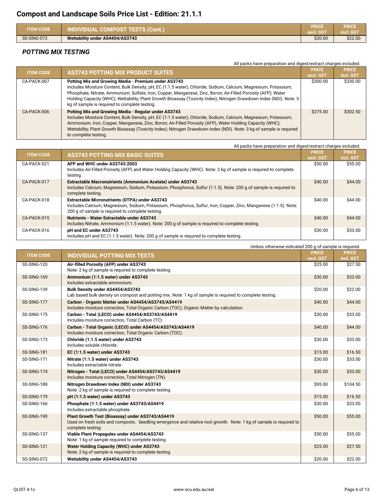| <b>ITEM CODE</b> | <b>INDIVIDUAL COMPOST TESTS (Cont.)</b> | PRICE<br>excl. GST | <b>PRICE</b><br>incl. GST |
|------------------|-----------------------------------------|--------------------|---------------------------|
| SS-SING-072      | Wettability under AS4454/AS3743         | \$20.00            | \$22.00                   |

#### *POTTING MIX TESTING*

|                  | All packs have preparation and digest/extract charges included.                                                                                                                                                                                                                                                                                                                                                                                                  |              |              |  |
|------------------|------------------------------------------------------------------------------------------------------------------------------------------------------------------------------------------------------------------------------------------------------------------------------------------------------------------------------------------------------------------------------------------------------------------------------------------------------------------|--------------|--------------|--|
| <b>ITEM CODE</b> | <b>AS3743 POTTING MIX PRODUCT SUITES</b>                                                                                                                                                                                                                                                                                                                                                                                                                         | <b>PRICE</b> | <b>PRICE</b> |  |
|                  |                                                                                                                                                                                                                                                                                                                                                                                                                                                                  | excl. GST    | incl. GST    |  |
| CA-PACK-007      | Potting Mix and Growing Media - Premium under AS3743<br>Includes Moisture Content, Bulk Density, pH, EC (1:1.5 water); Chloride, Sodium, Calcium, Magnesium, Potassium,<br>Phosphate, Nitrate, Ammonium, Sulfate, Iron, Copper, Manganese, Zinc, Boron; Air-Filled Porosity (AFP); Water<br>Holding Capacity (WHC); Wettability; Plant Growth Bioassay (Toxicity Index), Nitrogen Drawdown Index (NDI). Note: 3<br>kg of sample is required to complete testing. | \$300.00     | \$330.00     |  |
| CA-PACK-006      | Potting Mix and Growing Media - Regular under AS3743<br>Includes Moisture Content, Bulk Density, pH, EC (1:1.5 water); Chloride, Sodium, Calcium, Magnesium, Potassium,<br>Ammonium, Iron, Copper, Manganese, Zinc, Boron; Air-Filled Porosity (AFP), Water Holding Capacity (WHC);<br>Wettability; Plant Growth Bioassay (Toxicity Index); Nitrogen Drawdown Index (NDI). Note: 3 kg of sample is required<br>to complete testing.                              | \$275.00     | \$302.50     |  |

| All packs have preparation and digest/extract charges included. |                                                                                                                   |              |              |
|-----------------------------------------------------------------|-------------------------------------------------------------------------------------------------------------------|--------------|--------------|
| <b>ITEM CODE</b>                                                | <b>AS3743 POTTING MIX BASIC SUITES</b>                                                                            | <b>PRICE</b> | <b>PRICE</b> |
|                                                                 |                                                                                                                   | excl. GST    | incl. GST    |
| CA-PACK-021                                                     | AFP and WHC under AS3743:2003                                                                                     | \$50.00      | \$55.00      |
|                                                                 | Includes Air-Filled Porosity (AFP) and Water Holding Capacity (WHC). Note: 2 kg of sample is required to complete |              |              |
|                                                                 | testing.                                                                                                          |              |              |
| CA-PACK-017                                                     | <b>Extractable Macronutrients (Ammonium Acetate) under AS3743</b>                                                 | \$40.00      | \$44.00      |
|                                                                 | Includes Calcium, Magnesium, Sodium, Potassium, Phosphorus, Sulfur (1:1.5). Note: 200 g of sample is required to  |              |              |
|                                                                 | complete testing.                                                                                                 |              |              |
| CA-PACK-018                                                     | Extractable Micronutrients (DTPA) under AS3743                                                                    | \$40.00      | \$44.00      |
|                                                                 | Includes Calcium, Magnesium, Sodium, Potassium, Phosphorus, Sulfur, Iron, Copper, Zinc, Manganese (1:1.5). Note:  |              |              |
|                                                                 | 200 g of sample is required to complete testing.                                                                  |              |              |
| CA-PACK-015                                                     | Nutrients - Water Extractable under AS3743                                                                        | \$40.00      | \$44.00      |
|                                                                 | Includes Nitrate, Ammonium (1:1.5 water). Note: 200 g of sample is required to complete testing.                  |              |              |
| CA-PACK-016                                                     | pH and EC under AS3743                                                                                            | \$30.00      | \$33.00      |
|                                                                 | Includes pH and EC (1:1.5 water). Note: 200 g of sample is required to complete testing.                          |              |              |

|                  | Unless otherwise indicated 200 g of sample is required.                                                            |              |              |
|------------------|--------------------------------------------------------------------------------------------------------------------|--------------|--------------|
|                  |                                                                                                                    | <b>PRICE</b> | <b>PRICE</b> |
| <b>ITEM CODE</b> | <b>INDIVIDUAL POTTING MIX TESTS</b>                                                                                | excl. GST    | incl. GST    |
| SS-SING-120      | Air-filled Porosity (AFP) under AS3743                                                                             | \$25.00      | \$27.50      |
|                  | Note: 2 kg of sample is required to complete testing.                                                              |              |              |
| SS-SING-169      | Ammonium (1:1.5 water) under AS3743                                                                                | \$30.00      | \$33.00      |
|                  | Includes extractable ammonium.                                                                                     |              |              |
| SS-SING-139      | Bulk Density under AS4454/AS3743                                                                                   | \$20.00      | \$22.00      |
|                  | Lab based bulk density on compost and potting mix. Note: 1 kg of sample is required to complete testing.           |              |              |
| SS-SING-177      | Carbon - Organic Matter under AS4454/AS3743/AS4419                                                                 | \$40.00      | \$44.00      |
|                  | Includes moisture correction, Total Organic Carbon (TOC), Organic Matter by calculation.                           |              |              |
| SS-SING-175      | Carbon - Total (LECO) under AS4454/AS3743/AS4419                                                                   | \$30.00      | \$33.00      |
|                  | Includes moisture correction, Total Carbon (TC).                                                                   |              |              |
| SS-SING-176      | Carbon - Total Organic (LECO) under AS4454/AS3743/AS4419                                                           | \$40.00      | \$44.00      |
|                  | Includes moisture correction, Total Organic Carbon (TOC).                                                          |              |              |
| SS-SING-173      | Chloride (1:1.5 water) under AS3743                                                                                | \$30.00      | \$33.00      |
|                  | Includes soluble chloride.                                                                                         |              |              |
| SS-SING-181      | EC (1:1.5 water) under AS3743                                                                                      | \$15.00      | \$16.50      |
| SS-SING-171      | Nitrate (1:1.5 water) under AS3743                                                                                 | \$30.00      | \$33.00      |
|                  | Includes extractable nitrate.                                                                                      |              |              |
| SS-SING-174      | Nitrogen - Total (LECO) under AS4454/AS3743/AS4419                                                                 | \$30.00      | \$33.00      |
|                  | Includes moisture correction, Total Nitrogen (TN).                                                                 |              |              |
| SS-SING-188      | Nitrogen Drawdown Index (NDI) under AS3743                                                                         | \$95.00      | \$104.50     |
|                  | Note: 2 kg of sample is required to complete testing.                                                              |              |              |
| SS-SING-179      | pH (1:1.5 water) under AS3743                                                                                      | \$15.00      | \$16.50      |
| SS-SING-166      | Phosphate (1:1.5 water) under AS3743/AS4419                                                                        | \$30.00      | \$33.00      |
|                  | Includes extractable phosphate.                                                                                    |              |              |
| SS-SING-190      | Plant Growth Test (Bioassay) under AS3743/AS4419                                                                   | \$50.00      | \$55.00      |
|                  | Used on fresh soils and composts. Seedling emergence and relative root growth. Note: 1 kg of sample is required to |              |              |
|                  | complete testing.                                                                                                  |              |              |
| SS-SING-137      | Viable Plant Propagules under AS4454/AS3743                                                                        | \$50.00      | \$55.00      |
|                  | Note: 1 kg of sample required to complete testing.                                                                 |              |              |
| SS-SING-121      | Water Holding Capacity (WHC) under AS3743                                                                          | \$25.00      | \$27.50      |
|                  | Note: 2 kg of sample is required to complete testing.                                                              |              |              |
| SS-SING-072      | Wettability under AS4454/AS3743                                                                                    | \$20.00      | \$22.00      |
|                  |                                                                                                                    |              |              |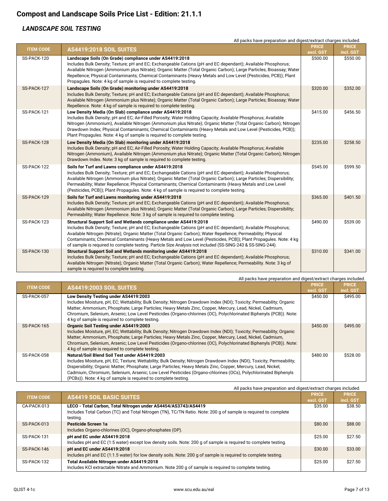#### *LANDSCAPE SOIL TESTING*

|                  | All packs have preparation and digest/extract charges included.                                                                                                                                                                                                                                                                                                                                                                                                                                                                       |              |              |
|------------------|---------------------------------------------------------------------------------------------------------------------------------------------------------------------------------------------------------------------------------------------------------------------------------------------------------------------------------------------------------------------------------------------------------------------------------------------------------------------------------------------------------------------------------------|--------------|--------------|
| <b>ITEM CODE</b> | AS4419:2018 SOIL SUITES                                                                                                                                                                                                                                                                                                                                                                                                                                                                                                               | <b>PRICE</b> | <b>PRICE</b> |
|                  |                                                                                                                                                                                                                                                                                                                                                                                                                                                                                                                                       | excl. GST    | incl. GST    |
| SS-PACK-120      | Landscape Soils (On Grade) compliance under AS4419:2018<br>Includes Bulk Density; Texture; pH and EC; Exchangeable Cations (pH and EC dependant); Available Phosphorus;<br>Available Nitrogen (Ammonium plus Nitrate); Organic Matter (Total Organic Carbon); Large Particles; Bioassay; Water<br>Repellence; Physical Contaminants; Chemical Contaminants (Heavy Metals and Low Level (Pesticides, PCB)); Plant<br>Propagules. Note: 4 kg of sample is required to complete testing.                                                 | \$500.00     | \$550.00     |
| SS-PACK-127      | Landscape Soils (On Grade) monitoring under AS4419:2018<br>Includes Bulk Density; Texture; pH and EC; Exchangeable Cations (pH and EC dependant); Available Phosphorus;<br>Available Nitrogen (Ammonium plus Nitrate); Organic Matter (Total Organic Carbon); Large Particles; Bioassay; Water<br>Repellence. Note: 4 kg of sample is required to complete testing.                                                                                                                                                                   | \$320.00     | \$352.00     |
| SS-PACK-121      | Low Density Media (On Slab) compliance under AS4419:2018<br>Includes Bulk Density; pH and EC; Air-Filled Porosity; Water Holding Capacity; Available Phosphorus; Available<br>Nitrogen (Ammonium), Available Nitrogen (Ammonium plus Nitrate); Organic Matter (Total Organic Carbon); Nitrogen<br>Drawdown Index; Physical Contaminants; Chemical Contaminants (Heavy Metals and Low Level (Pesticides, PCB));<br>Plant Propagules. Note: 4 kg of sample is required to complete testing.                                             | \$415.00     | \$456.50     |
| SS-PACK-128      | Low Density Media (On Slab) monitoring under AS4419:2018<br>Includes Bulk Density; pH and EC; Air-Filled Porosity; Water Holding Capacity; Available Phosphorus; Available<br>Nitrogen (Ammonium), Available Nitrogen (Ammonium plus Nitrate); Organic Matter (Total Organic Carbon); Nitrogen<br>Drawdown Index. Note: 3 kg of sample is required to complete testing.                                                                                                                                                               | \$235.00     | \$258.50     |
| SS-PACK-122      | Soils for Turf and Lawns compliance under AS4419:2018<br>Includes Bulk Density; Texture; pH and EC; Exchangeable Cations (pH and EC dependant); Available Phosphorus;<br>Available Nitrogen (Ammonium plus Nitrate); Organic Matter (Total Organic Carbon); Large Particles; Dispersibility;<br>Permeability; Water Repellence; Physical Contaminants; Chemical Contaminants (Heavy Metals and Low Level<br>(Pesticides, PCB)); Plant Propagules. Note: 4 kg of sample is required to complete testing.                               | \$545.00     | \$599.50     |
| SS-PACK-129      | Soils for Turf and Lawns monitoring under AS4419:2018<br>Includes Bulk Density; Texture; pH and EC; Exchangeable Cations (pH and EC dependant); Available Phosphorus;<br>Available Nitrogen (Ammonium plus Nitrate); Organic Matter (Total Organic Carbon); Large Particles; Dispersibility;<br>Permeability; Water Repellence. Note: 3 kg of sample is required to complete testing.                                                                                                                                                 | \$365.00     | \$401.50     |
| SS-PACK-123      | Structural Support Soil and Wetlands compliance under AS4419:2018<br>Includes Bulk Density; Texture; pH and EC; Exchangeable Cations (pH and EC dependant); Available Phosphorus;<br>Available Nitrogen (Nitrate); Organic Matter (Total Organic Carbon); Water Repellence; Permeability; Physical<br>Contaminants; Chemical Contaminants (Heavy Metals and Low Level (Pesticides, PCB)); Plant Propagules. Note: 4 kg<br>of sample is required to complete testing. Particle Size Analysis not included (SS-SING-243 & SS-SING-244). | \$490.00     | \$539.00     |
| SS-PACK-130      | Structural Support Soil and Wetlands monitoring under AS4419:2018<br>Includes Bulk Density; Texture; pH and EC; Exchangeable Cations (pH and EC dependant); Available Phosphorus;<br>Available Nitrogen (Nitrate); Organic Matter (Total Organic Carbon); Water Repellence; Permeability. Note: 3 kg of<br>sample is required to complete testing.                                                                                                                                                                                    | \$310.00     | \$341.00     |

| All packs have preparation and digest/extract charges included. |                                                                                                                       |              |              |
|-----------------------------------------------------------------|-----------------------------------------------------------------------------------------------------------------------|--------------|--------------|
| <b>ITEM CODE</b>                                                | <b>AS4419:2003 SOIL SUITES</b>                                                                                        | <b>PRICE</b> | <b>PRICE</b> |
|                                                                 |                                                                                                                       | excl. GST    | incl. GST    |
| SS-PACK-057                                                     | Low Density Testing under AS4419:2003                                                                                 | \$450.00     | \$495.00     |
|                                                                 | Includes Moisture, pH, EC; Wettability; Bulk Density; Nitrogen Drawdown Index (NDI); Toxicity; Permeability; Organic  |              |              |
|                                                                 | Matter; Ammonium, Phosphate; Large Particles; Heavy Metals Zinc, Copper, Mercury, Lead, Nickel, Cadmium,              |              |              |
|                                                                 | Chromium, Selenium, Arsenic; Low Level Pesticides (Organo-chlorines (OC), Polychlorinated Biphenyls (PCB)). Note:     |              |              |
|                                                                 | 4 kg of sample is required to complete testing.                                                                       |              |              |
| SS-PACK-165                                                     | <b>Organic Soil Testing under AS4419:2003</b>                                                                         | \$450.00     | \$495.00     |
|                                                                 | Includes Moisture, pH, EC; Wettability; Bulk Density; Nitrogen Drawdown Index (NDI); Toxicity; Permeability; Organic  |              |              |
|                                                                 | Matter; Ammonium, Phosphate; Large Particles; Heavy Metals Zinc, Copper, Mercury, Lead, Nickel, Cadmium,              |              |              |
|                                                                 | Chromium, Selenium, Arsenic; Low Level Pesticides (Organo-chlorines (OC), Polychlorinated Biphenyls (PCB)). Note:     |              |              |
|                                                                 | 4 kg of sample is required to complete testing.                                                                       |              |              |
| SS-PACK-058                                                     | <b>Natural/Soil Blend Soil Test under AS4419:2003</b>                                                                 | \$480.00     | \$528.00     |
|                                                                 | Includes Moisture, pH, EC; Texture; Wettability; Bulk Density; Nitrogen Drawdown Index (NDI); Toxicity; Permeability; |              |              |
|                                                                 | Dispersibility; Organic Matter; Phosphate; Large Particles; Heavy Metals Zinc, Copper, Mercury, Lead, Nickel,         |              |              |
|                                                                 | Cadmium, Chromium, Selenium, Arsenic; Low Level Pesticides (Organo-chlorines (OCs), Polychlorinated Biphenyls         |              |              |
|                                                                 | (PCBs)). Note: 4 kg of sample is required to complete testing.                                                        |              |              |

|                  | All packs have preparation and digest/extract charges included.                                                 |              |              |
|------------------|-----------------------------------------------------------------------------------------------------------------|--------------|--------------|
| <b>ITEM CODE</b> | <b>AS4419 SOIL BASIC SUITES</b>                                                                                 | <b>PRICE</b> | <b>PRICE</b> |
|                  |                                                                                                                 | excl. GST    | incl. GST    |
| CA-PACK-013      | LECO - Total Carbon, Total Nitrogen under AS4454/AS3743/AS4419                                                  | \$35.00      | \$38.50      |
|                  | Includes Total Carbon (TC) and Total Nitrogen (TN), TC/TN Ratio. Note: 200 g of sample is required to complete  |              |              |
|                  | testing.                                                                                                        |              |              |
| SS-PACK-013      | Pesticide Screen 1a                                                                                             | \$80.00      | \$88.00      |
|                  | Includes Organo-chlorines (OC), Organo-phosphates (OP).                                                         |              |              |
| SS-PACK-131      | pH and EC under AS4419:2018                                                                                     | \$25.00      | \$27.50      |
|                  | Includes pH and EC (1:5 water) except low density soils. Note: 200 g of sample is required to complete testing. |              |              |
| SS-PACK-146      | pH and EC under AS4419:2018                                                                                     | \$30.00      | \$33.00      |
|                  | Includes pH and EC (1:1.5 water) for low density soils. Note: 200 g of sample is required to complete testing.  |              |              |
| SS-PACK-132      | Total Available Nitrogen under AS4419:2018                                                                      | \$25.00      | \$27.50      |
|                  | Includes KCI extractable Nitrate and Ammonium. Note 200 g of sample is required to complete testing.            |              |              |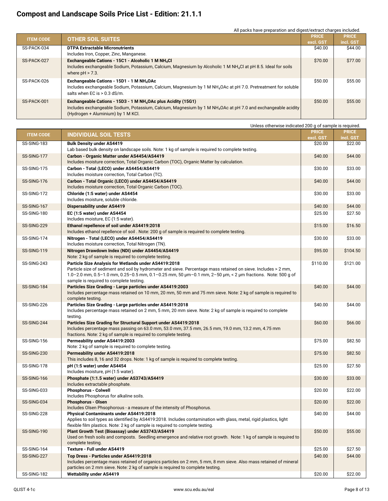#### All packs have preparation and digest/extract charges included.

| <b>ITEM CODE</b> | <b>OTHER SOIL SUITES</b>                                                                                                                                                                                                                     | <b>PRICE</b> | <b>PRICE</b> |
|------------------|----------------------------------------------------------------------------------------------------------------------------------------------------------------------------------------------------------------------------------------------|--------------|--------------|
|                  |                                                                                                                                                                                                                                              | excl. GST    | incl. GST    |
| SS-PACK-034      | <b>DTPA Extractable Micronutrients</b><br>Includes Iron, Copper, Zinc, Manganese.                                                                                                                                                            | \$40.00      | \$44.00      |
| SS-PACK-027      | Exchangeable Cations - 15C1 - Alcoholic 1 M NH <sub>4</sub> Cl<br>Includes exchangeable Sodium, Potassium, Calcium, Magnesium by Alcoholic 1 M NH <sub>4</sub> Cl at pH 8.5. Ideal for soils<br>where $pH > 7.3$ .                           | \$70.00      | \$77.00      |
| SS-PACK-026      | Exchangeable Cations - 15D1 - 1 M NH <sub>4</sub> OAc<br>Includes exchangeable Sodium, Potassium, Calcium, Magnesium by 1 M NH <sub>4</sub> OAc at pH 7.0. Pretreatment for soluble<br>salts when EC is > 0.3 dS/m.                          | \$50.00      | \$55.00      |
| SS-PACK-001      | Exchangeable Cations - 15D3 - 1 M NH <sub>4</sub> OAc plus Acidity (15G1)<br>Includes exchangeable Sodium, Potassium, Calcium, Magnesium by 1 M NH <sub>4</sub> OAc at pH 7.0 and exchangeable acidity<br>(Hydrogen + Aluminium) by 1 M KCl. | \$50.00      | \$55.00      |

|                  | Unless otherwise indicated 200 g of sample is required.                                                                                                                                                                                     |                      |                      |
|------------------|---------------------------------------------------------------------------------------------------------------------------------------------------------------------------------------------------------------------------------------------|----------------------|----------------------|
| <b>ITEM CODE</b> | <b>INDIVIDUAL SOIL TESTS</b>                                                                                                                                                                                                                | <b>PRICE</b>         | <b>PRICE</b>         |
| SS-SING-183      | <b>Bulk Density under AS4419</b>                                                                                                                                                                                                            | excl. GST<br>\$20.00 | incl. GST<br>\$22.00 |
|                  | Lab based bulk density on landscape soils. Note: 1 kg of sample is required to complete testing.                                                                                                                                            |                      |                      |
| SS-SING-177      | Carbon - Organic Matter under AS4454/AS4419<br>Includes moisture correction, Total Organic Carbon (TOC), Organic Matter by calculation.                                                                                                     | \$40.00              | \$44.00              |
| SS-SING-175      | Carbon - Total (LECO) under AS4454/AS4419                                                                                                                                                                                                   | \$30.00              | \$33.00              |
|                  | Includes moisture correction, Total Carbon (TC).                                                                                                                                                                                            |                      |                      |
| SS-SING-176      | Carbon - Total Organic (LECO) under AS4454/AS4419<br>Includes moisture correction, Total Organic Carbon (TOC).                                                                                                                              | \$40.00              | \$44.00              |
| SS-SING-172      | Chloride (1:5 water) under AS4454<br>Includes moisture, soluble chloride.                                                                                                                                                                   | \$30.00              | \$33.00              |
| SS-SING-167      | <b>Dispersability under AS4419</b>                                                                                                                                                                                                          | \$40.00              | \$44.00              |
| SS-SING-180      | EC (1:5 water) under AS4454                                                                                                                                                                                                                 | \$25.00              | \$27.50              |
|                  | Includes moisture, EC (1:5 water).                                                                                                                                                                                                          |                      |                      |
| SS-SING-229      | Ethanol repellence of soil under AS4419:2018<br>Includes ethanol repellence of soil. Note: 200 g of sample is required to complete testing.                                                                                                 | \$15.00              | \$16.50              |
| SS-SING-174      | Nitrogen - Total (LECO) under AS4454/AS4419<br>Includes moisture correction, Total Nitrogen (TN).                                                                                                                                           | \$30.00              | \$33.00              |
| SS-SING-119      | Nitrogen Drawdown Index (NDI) under AS4454/AS4419                                                                                                                                                                                           | \$95.00              | \$104.50             |
|                  | Note: 2 kg of sample is required to complete testing.                                                                                                                                                                                       |                      |                      |
| SS-SING-243      | Particle Size Analysis for Wetlands under AS4419:2018                                                                                                                                                                                       | \$110.00             | \$121.00             |
|                  | Particle size of sediment and soil by hydrometer and sieve. Percentage mass retained on sieve. Includes > 2 mm,<br>1.0-2.0 mm, 0.5-1.0 mm, 0.25-0.5 mm, 0.1-0.25 mm, 50 $\mu$ m-0.1 mm, 2-50 $\mu$ m, < 2 $\mu$ m fractions. Note: 500 g of |                      |                      |
|                  | sample is required to complete testing.                                                                                                                                                                                                     |                      |                      |
| SS-SING-184      | Particles Size Grading - Large particles under AS4419:2003                                                                                                                                                                                  | \$40.00              | \$44.00              |
|                  | Includes percentage mass retained on 10 mm, 20 mm, 50 mm and 75 mm sieve. Note: 2 kg of sample is required to<br>complete testing.                                                                                                          |                      |                      |
| SS-SING-226      | Particles Size Grading - Large particles under AS4419:2018                                                                                                                                                                                  | \$40.00              | \$44.00              |
|                  | Includes percentage mass retained on 2 mm, 5 mm, 20 mm sieve. Note: 2 kg of sample is required to complete<br>testing.                                                                                                                      |                      |                      |
| SS-SING-244      | Particles Size Grading for Structural Support under AS4419:2018                                                                                                                                                                             | \$60.00              | \$66.00              |
|                  | Includes percentage mass passing on 63.0 mm, 53.0 mm, 37.5 mm, 26.5 mm, 19.0 mm, 13.2 mm, 4.75 mm<br>fractions. Note: 2 kg of sample is required to complete testing.                                                                       |                      |                      |
| SS-SING-156      | Permeability under AS4419:2003                                                                                                                                                                                                              | \$75.00              | \$82.50              |
|                  | Note: 2 kg of sample is required to complete testing.                                                                                                                                                                                       |                      |                      |
| SS-SING-230      | <b>Permeability under AS4419:2018</b>                                                                                                                                                                                                       | \$75.00              | \$82.50              |
| SS-SING-178      | This includes 8, 16 and 32 drops. Note: 1 kg of sample is required to complete testing.<br>pH (1:5 water) under AS4454                                                                                                                      | \$25.00              | \$27.50              |
|                  | Includes moisture, pH (1:5 water).                                                                                                                                                                                                          |                      |                      |
| SS-SING-166      | Phosphate (1:1.5 water) under AS3743/AS4419<br>Includes extractable phosphate.                                                                                                                                                              | \$30.00              | \$33.00              |
| SS-SING-033      | <b>Phosphorus - Colwell</b><br>Includes Phosphorus for alkaline soils.                                                                                                                                                                      | \$20.00              | \$22.00              |
| SS-SING-034      | <b>Phosphorus - Olsen</b>                                                                                                                                                                                                                   | \$20.00              | \$22.00              |
| SS-SING-228      | Includes Olsen Phsophorous - a measure of the intensity of Phosphorus.<br><b>Physical Contaminants under AS4419:2018</b>                                                                                                                    | \$40.00              | \$44.00              |
|                  | Applies to soil types as identified by AS4419:2018. Includes contamination with glass, metal, rigid plastics, light<br>flexible film plastics. Note: 2 kg of sample is required to complete testing.                                        |                      |                      |
| SS-SING-190      | Plant Growth Test (Bioassay) under AS3743/AS4419                                                                                                                                                                                            | \$50.00              | \$55.00              |
|                  | Used on fresh soils and composts. Seedling emergence and relative root growth. Note: 1 kg of sample is required to                                                                                                                          |                      |                      |
|                  | complete testing.                                                                                                                                                                                                                           |                      |                      |
| SS-SING-164      | Texture - Full under AS4419                                                                                                                                                                                                                 | \$25.00              | \$27.50              |
| SS-SING-227      | Top Dress - Particles under AS4419:2018<br>Includes percentage mass retained of organics particles on 2 mm, 5 mm, 8 mm sieve. Also mass retained of mineral                                                                                 | \$40.00              | \$44.00              |
|                  | particles on 2 mm sieve. Note: 2 kg of sample is required to complete testing.                                                                                                                                                              |                      |                      |
| SS-SING-182      | <b>Wettability under AS4419</b>                                                                                                                                                                                                             | \$20.00              | \$22.00              |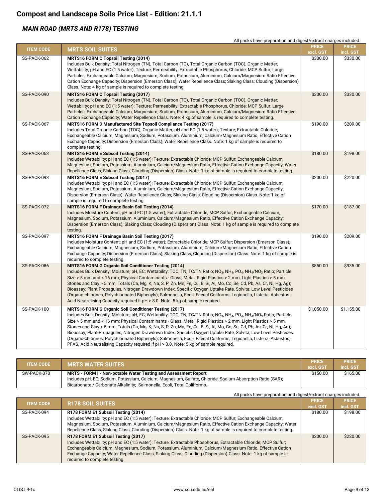#### *MAIN ROAD (MRTS AND R178) TESTING*

|                  | All packs have preparation and digest/extract charges included.                                                                                                                                                                                                                                                                                                                                                                                                                                                                                                                                                                                                                                                                                                                                                             |                           |                           |
|------------------|-----------------------------------------------------------------------------------------------------------------------------------------------------------------------------------------------------------------------------------------------------------------------------------------------------------------------------------------------------------------------------------------------------------------------------------------------------------------------------------------------------------------------------------------------------------------------------------------------------------------------------------------------------------------------------------------------------------------------------------------------------------------------------------------------------------------------------|---------------------------|---------------------------|
| <b>ITEM CODE</b> | <b>MRTS SOIL SUITES</b>                                                                                                                                                                                                                                                                                                                                                                                                                                                                                                                                                                                                                                                                                                                                                                                                     | <b>PRICE</b><br>excl. GST | <b>PRICE</b><br>incl. GST |
| SS-PACK-062      | <b>MRTS16 FORM C Topsoil Testing (2014)</b><br>Includes Bulk Density; Total Nitrogen (TN), Total Carbon (TC), Total Organic Carbon (TOC), Organic Matter;<br>Wettability; pH and EC (1:5 water); Texture; Permeability; Extractable Phosphorus, Chloride; MCP Sulfur; Large<br>Particles; Exchangeable Calcium, Magnesium, Sodium, Potassium, Aluminium, Calcium/Magnesium Ratio Effective<br>Cation Exchange Capacity; Dispersion (Emerson Class); Water Repellence Class; Slaking Class; Clouding (Dispersion)<br>Class. Note: 4 kg of sample is required to complete testing.                                                                                                                                                                                                                                            | \$300.00                  | \$330.00                  |
| SS-PACK-090      | MRTS16 FORM C Topsoil Testing (2017)<br>Includes Bulk Density; Total Nitrogen (TN), Total Carbon (TC), Total Organic Carbon (TOC), Organic Matter;<br>Wettability; pH and EC (1:5 water); Texture; Permeability; Extractable Phosphorus, Chloride; MCP Sulfur; Large<br>Particles; Exchangeable Calcium, Magnesium, Sodium, Potassium, Aluminium, Calcium/Magnesium Ratio Effective<br>Cation Exchange Capacity; Water Repellence Class. Note: 4 kg of sample is required to complete testing.                                                                                                                                                                                                                                                                                                                              | \$300.00                  | \$330.00                  |
| SS-PACK-067      | MRTS16 FORM D Manufactured Site Topsoil Compliance Testing (2017)<br>Includes Total Organic Carbon (TOC), Organic Matter; pH and EC (1:5 water); Texture; Extractable Chloride;<br>Exchangeable Calcium, Magnesium, Sodium, Potassium, Aluminium, Calcium/Magnesium Ratio, Effective Cation<br>Exchange Capacity; Dispersion (Emerson Class); Water Repellence Class. Note: 1 kg of sample is required to<br>complete testing.                                                                                                                                                                                                                                                                                                                                                                                              | \$190.00                  | \$209.00                  |
| SS-PACK-063      | <b>MRTS16 FORM E Subsoil Testing (2014)</b><br>Includes Wettability; pH and EC (1:5 water); Texture; Extractable Chloride; MCP Sulfur; Exchangeable Calcium,<br>Magnesium, Sodium, Potassium, Aluminium, Calcium/Magnesium Ratio, Effective Cation Exchange Capacity; Water<br>Repellence Class; Slaking Class; Clouding (Dispersion) Class. Note: 1 kg of sample is required to complete testing.                                                                                                                                                                                                                                                                                                                                                                                                                          | \$180.00                  | \$198.00                  |
| SS-PACK-093      | MRTS16 FORM E Subsoil Testing (2017)<br>Includes Wettability; pH and EC (1:5 water); Texture; Extractable Chloride; MCP Sulfur; Exchangeable Calcium,<br>Magnesium, Sodium, Potassium, Aluminium, Calcium/Magnesium Ratio, Effective Cation Exchange Capacity;<br>Dispersion (Emerson Class); Water Repellence Class; Slaking Class; Clouding (Dispersion) Class. Note: 1 kg of<br>sample is required to complete testing.                                                                                                                                                                                                                                                                                                                                                                                                  | \$200.00                  | \$220.00                  |
| SS-PACK-072      | <b>MRTS16 FORM F Drainage Basin Soil Testing (2014)</b><br>Includes Moisture Content; pH and EC (1:5 water); Extractable Chloride; MCP Sulfur; Exchangeable Calcium,<br>Magnesium, Sodium, Potassium, Aluminium, Calcium/Magnesium Ratio, Effective Cation Exchange Capacity;<br>Dispersion (Emerson Class); Slaking Class; Clouding (Dispersion) Class. Note: 1 kg of sample is required to complete<br>testing.                                                                                                                                                                                                                                                                                                                                                                                                           | \$170.00                  | \$187.00                  |
| SS-PACK-097      | MRTS16 FORM F Drainage Basin Soil Testing (2017)<br>Includes Moisture Content; pH and EC (1:5 water); Extractable Chloride; MCP Sulfur; Dispersion (Emerson Class);<br>Exchangeable Calcium, Magnesium, Sodium, Potassium, Aluminium, Calcium/Magnesium Ratio, Effective Cation<br>Exchange Capacity; Dispersion (Emerson Class); Slaking Class; Clouding (Dispersion) Class. Note: 1 kg of sample is<br>required to complete testing.                                                                                                                                                                                                                                                                                                                                                                                      | \$190.00                  | \$209.00                  |
| SS-PACK-086      | <b>MRTS16 FORM G Organic Soil Conditioner Testing (2014)</b><br>Includes Bulk Density; Moisture, pH, EC; Wettability; TOC, TN, TC/TN Ratio; NO <sub>3</sub> , NH <sub>4</sub> , PO <sub>4</sub> , NH <sub>4</sub> /NO <sub>3</sub> Ratio; Particle<br>Size > 5 mm and < 16 mm; Physical Contaminants - Glass, Metal, Rigid Plastics > 2 mm, Light Plastics > 5 mm,<br>Stones and Clay > 5 mm; Totals (Ca, Mg, K, Na, S, P, Zn, Mn, Fe, Cu, B, Si, Al, Mo, Co, Se, Cd, Pb, As, Cr, Ni, Hg, Ag);<br>Bioassay; Plant Propagules, Nitrogen Drawdown Index, Specific Oxygen Uptake Rate, Solvita; Low Level Pesticides<br>(Organo-chlorines, Polychlorinated Biphenyls); Salmonella, Ecoli, Faecal Coliforms; Legionella, Listeria; Asbestos.<br>Acid Neutralising Capacity required if pH > 8.0. Note: 5 kg of sample required. | \$850.00                  | \$935.00                  |
| SS-PACK-100      | MRTS16 FORM G Organic Soil Conditioner Testing (2017)<br>Includes Bulk Density; Moisture, pH, EC; Wettability; TOC, TN, TC/TN Ratio; NO <sub>3</sub> , NH <sub>4</sub> , PO <sub>4</sub> , NH <sub>4</sub> /NO <sub>3</sub> Ratio; Particle<br>Size > 5 mm and < 16 mm; Physical Contaminants - Glass, Metal, Rigid Plastics > 2 mm, Light Plastics > 5 mm,<br>Stones and Clay > 5 mm; Totals (Ca, Mg, K, Na, S, P, Zn, Mn, Fe, Cu, B, Si, Al, Mo, Co, Se, Cd, Pb, As, Cr, Ni, Hg, Ag);<br>Bioassay; Plant Propagules, Nitrogen Drawdown Index, Specific Oxygen Uptake Rate, Solvita; Low Level Pesticides<br>(Organo-chlorines, Polychlorinated Biphenyls); Salmonella, Ecoli, Faecal Coliforms; Legionella, Listeria; Asbestos;<br>PFAS. Acid Neutralising Capacity required if pH > 8.0. Note: 5 kg of sample required.  | \$1,050.00                | \$1,155.00                |

| <b>ITEM CODE</b> | <b>MRTS WATER SUITES \</b>                                                                                | <b>PRICE</b><br>excl. GST | <b>PRICE</b><br>incl. GST |
|------------------|-----------------------------------------------------------------------------------------------------------|---------------------------|---------------------------|
| SW-PACK-070      | MRTS - FORM I - Non-potable Water Testing and Assessment Report                                           | \$150.00                  | \$165.00                  |
|                  | Includes pH, EC; Sodium, Potassium, Calcium, Magnesium, Sulfate, Chloride, Sodium Absorption Ratio (SAR); |                           |                           |
|                  | Bicarbonate / Carbonate Alkalinity; Salmonella, Ecoli, Total Colilforms.                                  |                           |                           |

| All packs have preparation and digest/extract charges included. |  |  |  |
|-----------------------------------------------------------------|--|--|--|

| <b>ITEM CODE</b> | <b>R178 SOIL SUITES</b>                                                                                                                                                                                                                                                                                                                                                                                               | <b>PRICE</b> | <b>PRICE</b> |
|------------------|-----------------------------------------------------------------------------------------------------------------------------------------------------------------------------------------------------------------------------------------------------------------------------------------------------------------------------------------------------------------------------------------------------------------------|--------------|--------------|
|                  |                                                                                                                                                                                                                                                                                                                                                                                                                       | excl. GST    | incl. GST    |
| SS-PACK-094      | R178 FORM E1 Subsoil Testing (2014)<br>Includes Wettability; pH and EC (1:5 water); Texture; Extractable Chloride; MCP Sulfur; Exchangeable Calcium,<br>Magnesium, Sodium, Potassium, Aluminium, Calcium/Magnesium Ratio, Effective Cation Exchange Capacity; Water<br>Repellence Class; Slaking Class; Clouding (Dispersion) Class. Note: 1 kg of sample is required to complete testing.                            | \$180.00     | \$198.00     |
| SS-PACK-095      | R178 FORM E1 Subsoil Testing (2017)<br>Includes Wettability; pH and EC (1:5 water); Texture; Extractable Phosphorus, Extractable Chloride; MCP Sulfur;<br>Exchangeable Calcium, Magnesium, Sodium, Potassium, Aluminium, Calcium/Magnesium Ratio, Effective Cation<br>Exchange Capacity; Water Repellence Class; Slaking Class; Clouding (Dispersion) Class. Note: 1 kg of sample is<br>required to complete testing. | \$200.00     | \$220.00     |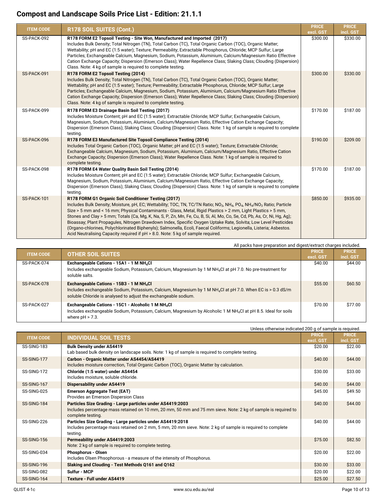| <b>ITEM CODE</b> | R178 SOIL SUITES (Cont.)                                                                                                                                                                                                                                                                                                                                                                                                                                                                                                                                                                                                                                                                                                                                                                                            | <b>PRICE</b><br>excl. GST | <b>PRICE</b><br>incl. GST |
|------------------|---------------------------------------------------------------------------------------------------------------------------------------------------------------------------------------------------------------------------------------------------------------------------------------------------------------------------------------------------------------------------------------------------------------------------------------------------------------------------------------------------------------------------------------------------------------------------------------------------------------------------------------------------------------------------------------------------------------------------------------------------------------------------------------------------------------------|---------------------------|---------------------------|
| SS-PACK-092      | R178 FORM E2 Topsoil Testing - Site Won, Manufactured and Imported (2017)<br>Includes Bulk Density; Total Nitrogen (TN), Total Carbon (TC), Total Organic Carbon (TOC), Organic Matter;<br>Wettability; pH and EC (1:5 water); Texture; Permeability; Extractable Phosphorus, Chloride; MCP Sulfur; Large<br>Particles; Exchangeable Calcium, Magnesium, Sodium, Potassium, Aluminium, Calcium/Magnesium Ratio Effective<br>Cation Exchange Capacity; Dispersion (Emerson Class); Water Repellence Class; Slaking Class; Clouding (Dispersion)<br>Class. Note: 4 kg of sample is required to complete testing.                                                                                                                                                                                                      | \$300.00                  | \$330.00                  |
| SS-PACK-091      | R178 FORM E2 Topsoil Testing (2014)<br>Includes Bulk Density; Total Nitrogen (TN), Total Carbon (TC), Total Organic Carbon (TOC), Organic Matter;<br>Wettability; pH and EC (1:5 water); Texture; Permeability; Extractable Phosphorus, Chloride; MCP Sulfur; Large<br>Particles; Exchangeable Calcium, Magnesium, Sodium, Potassium, Aluminium, Calcium/Magnesium Ratio Effective<br>Cation Exchange Capacity; Dispersion (Emerson Class); Water Repellence Class; Slaking Class; Clouding (Dispersion)<br>Class. Note: 4 kg of sample is required to complete testing.                                                                                                                                                                                                                                            | \$300.00                  | \$330.00                  |
| SS-PACK-099      | R178 FORM E3 Drainage Basin Soil Testing (2017)<br>Includes Moisture Content; pH and EC (1:5 water); Extractable Chloride; MCP Sulfur; Exchangeable Calcium,<br>Magnesium, Sodium, Potassium, Aluminium, Calcium/Magnesium Ratio, Effective Cation Exchange Capacity;<br>Dispersion (Emerson Class); Slaking Class; Clouding (Dispersion) Class. Note: 1 kg of sample is required to complete<br>testing.                                                                                                                                                                                                                                                                                                                                                                                                           | \$170.00                  | \$187.00                  |
| SS-PACK-096      | R178 FORM E3 Manufactured Site Topsoil Compliance Testing (2014)<br>Includes Total Organic Carbon (TOC), Organic Matter; pH and EC (1:5 water); Texture; Extractable Chloride;<br>Exchangeable Calcium, Magnesium, Sodium, Potassium, Aluminium, Calcium/Magnesium Ratio, Effective Cation<br>Exchange Capacity; Dispersion (Emerson Class); Water Repellence Class. Note: 1 kg of sample is required to<br>complete testing.                                                                                                                                                                                                                                                                                                                                                                                       | \$190.00                  | \$209.00                  |
| SS-PACK-098      | R178 FORM E4 Water Quality Basin Soil Testing (2014)<br>Includes Moisture Content; pH and EC (1:5 water); Extractable Chloride; MCP Sulfur; Exchangeable Calcium,<br>Magnesium, Sodium, Potassium, Aluminium, Calcium/Magnesium Ratio, Effective Cation Exchange Capacity;<br>Dispersion (Emerson Class); Slaking Class; Clouding (Dispersion) Class. Note: 1 kg of sample is required to complete<br>testing.                                                                                                                                                                                                                                                                                                                                                                                                      | \$170.00                  | \$187.00                  |
| SS-PACK-101      | R178 FORM G1 Organic Soil Conditioner Testing (2017)<br>Includes Bulk Density; Moisture, pH, EC; Wettability; TOC, TN, TC/TN Ratio; NO <sub>3</sub> , NH <sub>4</sub> , PO <sub>4</sub> , NH <sub>4</sub> /NO <sub>3</sub> Ratio; Particle<br>Size > 5 mm and < 16 mm; Physical Contaminants - Glass, Metal, Rigid Plastics > 2 mm, Light Plastics > 5 mm,<br>Stones and Clay > 5 mm; Totals (Ca, Mg, K, Na, S, P, Zn, Mn, Fe, Cu, B, Si, Al, Mo, Co, Se, Cd, Pb, As, Cr, Ni, Hg, Ag);<br>Bioassay; Plant Propagules, Nitrogen Drawdown Index, Specific Oxygen Uptake Rate, Solvita; Low Level Pesticides<br>(Organo-chlorines, Polychlorinated Biphenyls); Salmonella, Ecoli, Faecal Coliforms; Legionella, Listeria; Asbestos.<br>Acid Neutralising Capacity required if pH > 8.0. Note: 5 kg of sample required. | \$850.00                  | \$935.00                  |

All packs have preparation and digest/extract charges included.

| <b>ITEM CODE</b> | <b>OTHER SOIL SUITES</b>                                                                                                   | <b>PRICE</b> | <b>PRICE</b> |
|------------------|----------------------------------------------------------------------------------------------------------------------------|--------------|--------------|
|                  |                                                                                                                            | excl. GST    | incl. GST    |
| SS-PACK-074      | Exchangeable Cations - 15A1 - 1 M NH <sub>4</sub> Cl                                                                       | \$40.00      | \$44.00      |
|                  | Includes exchangeable Sodium, Potassium, Calcium, Magnesium by 1 M NH <sub>4</sub> Cl at pH 7.0. No pre-treatment for      |              |              |
|                  | soluble salts.                                                                                                             |              |              |
| SS-PACK-078      | Exchangeable Cations - 15B3 - 1 M NH <sub>4</sub> Cl                                                                       | \$55.00      | \$60.50      |
|                  | Includes exchangeable Sodium, Potassium, Calcium, Magnesium by 1 M NH <sub>4</sub> Cl at pH 7.0. When EC is > 0.3 dS/m     |              |              |
|                  | soluble Chloride is analysed to adjust the exchangeable sodium.                                                            |              |              |
|                  |                                                                                                                            |              |              |
| SS-PACK-027      | Exchangeable Cations - 15C1 - Alcoholic 1 M NH <sub>4</sub> Cl                                                             | \$70.00      | \$77.00      |
|                  | Includes exchangeable Sodium, Potassium, Calcium, Magnesium by Alcoholic 1 M NH <sub>4</sub> Cl at pH 8.5. Ideal for soils |              |              |
|                  | where $pH > 7.3$ .                                                                                                         |              |              |
|                  |                                                                                                                            |              |              |

Unless otherwise indicated 200 g of sample is required. **ITEM CODE INDIVIDUAL SOIL TESTS PRICE excl. GST PRICE incl. GST** SS-SING-183 **Bulk Density under AS4419** Lab based bulk density on landscape soils. Note: 1 kg of sample is required to complete testing. \$20.00 \$22.00 SS-SING-177 **Carbon - Organic Matter under AS4454/AS4419** Includes moisture correction, Total Organic Carbon (TOC), Organic Matter by calculation. \$40.00 \$44.00 SS-SING-172 **Chloride (1:5 water) under AS4454** Includes moisture, soluble chloride. \$30.00 \$33.00 SS-SING-167 **Dispersability under AS4419** \$44.00 SS-SING-025 **Emerson Aggregate Test (EAT)** Provides an Emerson Dispersion Class \$45.00 \$49.50 SS-SING-184 **Particles Size Grading - Large particles under AS4419:2003** Includes percentage mass retained on 10 mm, 20 mm, 50 mm and 75 mm sieve. Note: 2 kg of sample is required to complete testing. \$40.00 \$44.00 SS-SING-226 **Particles Size Grading - Large particles under AS4419:2018** Includes percentage mass retained on 2 mm, 5 mm, 20 mm sieve. Note: 2 kg of sample is required to complete testing. \$40.00 \$44.00 SS-SING-156 **Permeability under AS4419:2003** Note: 2 kg of sample is required to complete testing.  $$75.00$  \$82.50 SS-SING-034 **Phosphorus - Olsen** Includes Olsen Phsophorous - a measure of the intensity of Phosphorus. \$20.00 \$22.00 SS-SING-196 **Slaking and Clouding - Test Methods Q161 and Q162 \$30.00** \$30.00 \$33.00 SS-SING-082 **Sulfur - MCP** \$20.00 \$22.00 SS-SING-164 **Texture - Full under AS4419** \$27.50 **\$27.50 \$27.50 \$27.50 \$27.50 \$27.50 \$27.50 \$27.50 \$27.50 \$27.50 \$27.50 \$27.50 \$27.50 \$27.50 \$27.50 \$27.50 \$27.50 \$27.50 \$27.50 \$27.50 \$27.50 \$27.50 \$27.50 \$27.50 \$27.50 \$27.**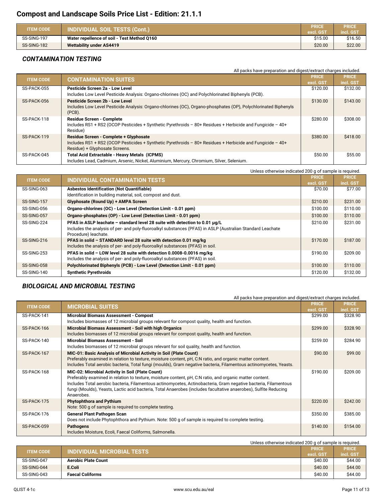| <b>ITEM CODE</b> | <b>INDIVIDUAL SOIL TESTS (Cont.)</b>        | PRICE<br>excl. GST | <b>PRICE</b><br>incl. GST |
|------------------|---------------------------------------------|--------------------|---------------------------|
| SS-SING-197      | Water repellence of soil - Test Method 0160 | \$15.00            | \$16.50                   |
| SS-SING-182      | <b>Wettability under AS4419</b>             | \$20.00            | \$22.00                   |

#### *CONTAMINATION TESTING*

|                  | All packs have preparation and digest/extract charges included.                                                                                                                        |                           |                           |
|------------------|----------------------------------------------------------------------------------------------------------------------------------------------------------------------------------------|---------------------------|---------------------------|
| <b>ITEM CODE</b> | <b>CONTAMINATION SUITES</b>                                                                                                                                                            | <b>PRICE</b><br>excl. GST | <b>PRICE</b><br>incl. GST |
| SS-PACK-055      | Pesticide Screen 2a - Low Level<br>Includes Low Level Pesticide Analysis: Organo-chlorines (OC) and Polychlorinated Biphenyls (PCB).                                                   | \$120.00                  | \$132.00                  |
| SS-PACK-056      | Pesticide Screen 2b - Low Level<br>Includes Low Level Pesticide Analysis: Organo-chlorines (OC), Organo-phosphates (OP), Polychlorinated Biphenyls<br>$(PCB)$ .                        | \$130.00                  | \$143.00                  |
| SS-PACK-118      | <b>Residue Screen - Complete</b><br>Includes RS1 + RS2 (OCOP Pesticides + Synthetic Pyrethroids - 80+ Residues + Herbicide and Fungicide - 40+<br>Residue)                             | \$280.00                  | \$308.00                  |
| SS-PACK-119      | Residue Screen - Complete + Glyphosate<br>Includes RS1 + RS2 (OCOP Pesticides + Synthetic Pyrethroids - 80+ Residues + Herbicide and Fungicide - 40+<br>Residue) + Glyphosate Screens. | \$380.00                  | \$418.00                  |
| SS-PACK-045      | Total Acid Extractable - Heavy Metals (ICPMS)<br>Includes Lead, Cadmium, Arsenic, Nickel, Aluminium, Mercury, Chromium, Silver, Selenium.                                              | \$50.00                   | \$55.00                   |

|                  | Unless otherwise indicated 200 g of sample is required.                                                    |              |              |
|------------------|------------------------------------------------------------------------------------------------------------|--------------|--------------|
| <b>ITEM CODE</b> | INDIVIDUAL CONTAMINATION TESTS                                                                             | <b>PRICE</b> | <b>PRICE</b> |
|                  |                                                                                                            | excl. GST    | incl. GST    |
| SS-SING-063      | <b>Asbestos Identification (Not Quantifiable)</b>                                                          | \$70.00      | \$77.00      |
|                  | Identification in building material, soil, compost and dust.                                               |              |              |
| SS-SING-157      | Glyphosate (Round Up) + AMPA Screen                                                                        | \$210.00     | \$231.00     |
| SS-SING-056      | Organo-chlorines (OC) - Low Level (Detection Limit - 0.01 ppm)                                             | \$100.00     | \$110.00     |
| SS-SING-057      | Organo-phosphates (OP) - Low Level (Detection Limit - 0.01 ppm)                                            | \$100.00     | \$110.00     |
| SS-SING-224      | PFAS in ASLP leachate - standard level 28 suite with detection to 0.01 µg/L                                | \$210.00     | \$231.00     |
|                  | Includes the analysis of per- and poly-fluoroalkyl substances (PFAS) in ASLP (Australian Standard Leachate |              |              |
|                  | Procedure) leachate.                                                                                       |              |              |
| SS-SING-216      | PFAS in solid - STANDARD level 28 suite with detection 0.01 mg/kg                                          | \$170.00     | \$187.00     |
|                  | Includes the analysis of per- and poly-fluoroalkyl substances (PFAS) in soil.                              |              |              |
| SS-SING-253      | PFAS in solid - LOW level 28 suite with detection 0.0008-0.0016 mg/kg                                      | \$190.00     | \$209.00     |
|                  | Includes the analysis of per- and poly-fluoroalkyl substances (PFAS) in soil.                              |              |              |
| SS-SING-058      | Polychlorinated Biphenyls (PCB) - Low Level (Detection Limit - 0.01 ppm)                                   | \$100.00     | \$110.00     |
| SS-SING-140      | <b>Synthetic Pyrethroids</b>                                                                               | \$120.00     | \$132.00     |

#### *BIOLOGICAL AND MICROBIAL TESTING*

| All packs have preparation and digest/extract charges included. |  |
|-----------------------------------------------------------------|--|
|-----------------------------------------------------------------|--|

| <b>ITEM CODE</b> | <b>MICROBIAL SUITES</b>                                                                                                                                                                                                     | <b>PRICE</b> | <b>PRICE</b> |
|------------------|-----------------------------------------------------------------------------------------------------------------------------------------------------------------------------------------------------------------------------|--------------|--------------|
|                  |                                                                                                                                                                                                                             | excl. GST    | incl. GST    |
| SS-PACK-141      | Microbial Biomass Assessment - Compost                                                                                                                                                                                      | \$299.00     | \$328.90     |
|                  | Includes biomasses of 12 microbial groups relevant for compost quality, health and function.                                                                                                                                |              |              |
| SS-PACK-166      | Microbial Biomass Assessment - Soil with high Organics                                                                                                                                                                      | \$299.00     | \$328.90     |
|                  | Includes biomasses of 12 microbial groups relevant for compost quality, health and function.                                                                                                                                |              |              |
| SS-PACK-140      | <b>Microbial Biomass Assessment - Soil</b>                                                                                                                                                                                  | \$259.00     | \$284.90     |
|                  | Includes biomasses of 12 microbial groups relevant for soil quality, health and function.                                                                                                                                   |              |              |
| SS-PACK-167      | MIC-01: Basic Analysis of Microbial Activity in Soil (Plate Count)                                                                                                                                                          | \$90.00      | \$99.00      |
|                  | Preferably examined in relation to texture, moisture content, pH, C:N ratio, and organic matter content.                                                                                                                    |              |              |
|                  | Includes Total aerobic bacteria, Total fungi (moulds), Gram negative bacteria, Filamentous actinomycetes, Yeasts.                                                                                                           |              |              |
| SS-PACK-168      | MIC-02: Microbial Activity in Soil (Plate Count)                                                                                                                                                                            | \$190.00     | \$209.00     |
|                  | Preferably examined in relation to texture, moisture content, pH, C:N ratio, and organic matter content.<br>Includes Total aerobic bacteria, Filamentous actinomycetes, Actinobacteria, Gram negative bacteria, Filamentous |              |              |
|                  | fungi (Moulds), Yeasts, Lactic acid bacteria, Total Anaerobes (includes facultative anaerobes), Sulfite Reducing                                                                                                            |              |              |
|                  | Anaerobes.                                                                                                                                                                                                                  |              |              |
| SS-PACK-175      | <b>Phytophthora and Pythium</b>                                                                                                                                                                                             | \$220.00     | \$242.00     |
|                  | Note: 500 g of sample is required to complete testing.                                                                                                                                                                      |              |              |
| SS-PACK-176      | General Plant Pathogen Scan                                                                                                                                                                                                 | \$350.00     | \$385.00     |
|                  | Does not include Phytophthora and Pythium. Note: 500 g of sample is required to complete testing.                                                                                                                           |              |              |
| SS-PACK-059      | <b>Pathogens</b>                                                                                                                                                                                                            | \$140.00     | \$154.00     |
|                  | Includes Moisture, Ecoli, Faecal Coliforms, Salmonella.                                                                                                                                                                     |              |              |
|                  | Liniose otherwise indicated 200 a of sample is required                                                                                                                                                                     |              |              |

| Unless otherwise indicated 200 g or sample is required. |                            |              |              |
|---------------------------------------------------------|----------------------------|--------------|--------------|
| <b>INDIVIDUAL MICROBIAL TESTS</b><br><b>ITEM CODE</b>   |                            | <b>PRICE</b> | <b>PRICE</b> |
|                                                         |                            | excl. GST    | incl. GST    |
| SS-SING-047                                             | <b>Aerobic Plate Count</b> | \$40.00      | \$44.00      |
| SS-SING-044                                             | E.Coli                     | \$40.00      | \$44.00      |
| SS-SING-043                                             | <b>Faecal Coliforms</b>    | \$40.00      | \$44.00      |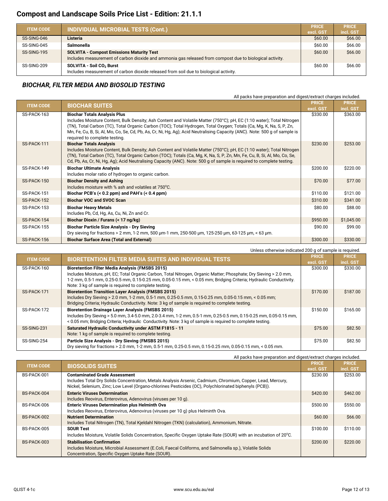| <b>ITEM CODE</b> | <b>INDIVIDUAL MICROBIAL TESTS (Cont.)</b>                                                                                                                    | <b>PRICE</b><br>excl. GST | <b>PRICE</b><br>incl. GST |
|------------------|--------------------------------------------------------------------------------------------------------------------------------------------------------------|---------------------------|---------------------------|
| SS-SING-046      | Listeria                                                                                                                                                     | \$60.00                   | \$66.00                   |
| SS-SING-045      | Salmonella                                                                                                                                                   | \$60.00                   | \$66.00                   |
| SS-SING-195      | <b>SOLVITA - Compost Emissions Maturity Test</b><br>Includes measurement of carbon dioxide and ammonia gas released from compost due to biological activity. | \$60.00                   | \$66.00                   |
| SS-SING-209      | SOLVITA - Soil CO <sub>2</sub> Burst<br>Includes measurement of carbon dioxide released from soil due to biological activity.                                | \$60.00                   | \$66.00                   |

#### *BIOCHAR, FILTER MEDIA AND BIOSOLID TESTING*

All packs have preparation and digest/extract charges included.

| <b>ITEM CODE</b> | <b>BIOCHAR SUITES</b>                                                                                                                                                                                                                                                                                                                                                                                                                              | <b>PRICE</b><br>excl. GST | <b>PRICE</b><br>incl. GST |
|------------------|----------------------------------------------------------------------------------------------------------------------------------------------------------------------------------------------------------------------------------------------------------------------------------------------------------------------------------------------------------------------------------------------------------------------------------------------------|---------------------------|---------------------------|
| SS-PACK-163      | <b>Biochar Totals Analysis Plus</b><br>Includes Moisture Content, Bulk Density; Ash Content and Volatile Matter (750°C); pH, EC (1:10 water); Total Nitrogen<br>(TN), Total Carbon (TC), Total Organic Carbon (TOC); Total Hydrogen, Total Oxygen; Totals (Ca, Mg, K, Na, S, P, Zn,<br>Mn, Fe, Cu, B, Si, Al, Mo, Co, Se, Cd, Pb, As, Cr, Ni, Hg, Ag); Acid Neutralising Capacity (ANC). Note: 500 g of sample is<br>required to complete testing. | \$330.00                  | \$363.00                  |
| SS-PACK-111      | <b>Biochar Totals Analysis</b><br>Includes Moisture Content, Bulk Density; Ash Content and Volatile Matter (750°C); pH, EC (1:10 water); Total Nitrogen<br>(TN), Total Carbon (TC), Total Organic Carbon (TOC); Totals (Ca, Mg, K, Na, S, P, Zn, Mn, Fe, Cu, B, Si, Al, Mo, Co, Se,<br>Cd, Pb, As, Cr, Ni, Hg, Ag); Acid Neutralising Capacity (ANC). Note: 500 g of sample is required to complete testing.                                       | \$230.00                  | \$253.00                  |
| SS-PACK-149      | <b>Biochar Ultimate Analysis</b><br>Includes molar ratio of hydrogen to organic carbon.                                                                                                                                                                                                                                                                                                                                                            | \$200.00                  | \$220.00                  |
| SS-PACK-150      | <b>Biochar Density and Ashing</b><br>Includes moisture with % ash and volatiles at 750°C.                                                                                                                                                                                                                                                                                                                                                          | \$70.00                   | \$77.00                   |
| SS-PACK-151      | Biochar PCB's $(0.2 ppm) and PAH's (0.4 ppm)$                                                                                                                                                                                                                                                                                                                                                                                                      | \$110.00                  | \$121.00                  |
| SS-PACK-152      | <b>Biochar VOC and SVOC Scan</b>                                                                                                                                                                                                                                                                                                                                                                                                                   | \$310.00                  | \$341.00                  |
| SS-PACK-153      | <b>Biochar Heavy Metals</b><br>Includes Pb, Cd, Hg, As, Cu, Ni, Zn and Cr.                                                                                                                                                                                                                                                                                                                                                                         | \$80.00                   | \$88.00                   |
| SS-PACK-154      | Biochar Dioxin / Furans (< 17 ng/kg)                                                                                                                                                                                                                                                                                                                                                                                                               | \$950.00                  | \$1,045.00                |
| SS-PACK-155      | <b>Biochar Particle Size Analysis - Dry Sieving</b><br>Dry sieving for fractions > 2 mm, 1-2 mm, 500 µm-1 mm, 250-500 µm, 125-250 µm, 63-125 µm, < 63 µm.                                                                                                                                                                                                                                                                                          | \$90.00                   | \$99.00                   |
| SS-PACK-156      | <b>Biochar Surface Area (Total and External)</b>                                                                                                                                                                                                                                                                                                                                                                                                   | \$300.00                  | \$330.00                  |

|                  | Unless otherwise indicated 200 g of sample is required.                                                           |           |              |
|------------------|-------------------------------------------------------------------------------------------------------------------|-----------|--------------|
| <b>ITEM CODE</b> | <b>BIORETENTION FILTER MEDIA SUITES AND INDIVIDUAL TESTS</b>                                                      |           | <b>PRICE</b> |
|                  |                                                                                                                   | excl. GST | incl. GST    |
| SS-PACK-160      | <b>Bioretention Filter Media Analysis (FMSBS 2015)</b>                                                            | \$300.00  | \$330.00     |
|                  | Includes Moisture, pH, EC; Total Organic Carbon, Total Nitrogen, Organic Matter; Phosphate; Dry Sieving > 2.0 mm, |           |              |
|                  | 1-2 mm, 0.5-1 mm, 0.25-0.5 mm, 0.15-0.25 mm, 0.05-0.15 mm, < 0.05 mm; Bridging Criteria; Hydraulic Conductivity.  |           |              |
|                  | Note: 3 kg of sample is required to complete testing.                                                             |           |              |
| SS-PACK-171      | <b>Bioretention Transition Layer Analysis (FMSBS 2015)</b>                                                        | \$170.00  | \$187.00     |
|                  | lncludes Dry Sieving > 2.0 mm, 1-2 mm, 0.5-1 mm, 0.25-0.5 mm, 0.15-0.25 mm, 0.05-0.15 mm, < 0.05 mm;              |           |              |
|                  | Bridging Criteria; Hydraulic Conductivity. Note: 3 kg of sample is required to complete testing.                  |           |              |
| SS-PACK-172      | <b>Bioretention Drainage Layer Analysis (FMSBS 2015)</b>                                                          | \$150.00  | \$165.00     |
|                  | lncludes Dry Sieving > 5.0 mm, 3.4-5.0 mm, 2.0-3.4 mm, 1-2 mm, 0.5-1 mm, 0.25-0.5 mm, 0.15-0.25 mm, 0.05-0.15 mm, |           |              |
|                  | < 0.05 mm; Bridging Criteria; Hydraulic Conductivity. Note: 3 kg of sample is required to complete testing.       |           |              |
| SS-SING-231      | Saturated Hydraulic Conductivity under ASTM F1815 - 11                                                            | \$75.00   | \$82.50      |
|                  | Note: 1 kg of sample is required to complete testing.                                                             |           |              |
| SS-SING-254      | Particle Size Analysis - Dry Sieving (FMSBS 2015)                                                                 | \$75.00   | \$82.50      |
|                  | Dry sieving for fractions > 2.0 mm, 1-2 mm, 0.5-1 mm, 0.25-0.5 mm, 0.15-0.25 mm, 0.05-0.15 mm, < 0.05 mm.         |           |              |

| All packs have preparation and digest/extract charges included. |                                                                                                                  |              |              |
|-----------------------------------------------------------------|------------------------------------------------------------------------------------------------------------------|--------------|--------------|
| <b>ITEM CODE</b>                                                | <b>BIOSOLIDS SUITES</b>                                                                                          | <b>PRICE</b> | <b>PRICE</b> |
|                                                                 |                                                                                                                  | excl. GST    | incl. GST    |
| BS-PACK-001                                                     | <b>Contaminated Grade Assessment</b>                                                                             | \$230.00     | \$253.00     |
|                                                                 | Includes Total Dry Solids Concentration, Metals Analysis Arsenic, Cadmium, Chromium, Copper, Lead, Mercury,      |              |              |
|                                                                 | Nickel, Selenium, Zinc; Low Level (Organo-chlorines Pesticides (OC), Polychlorinated biphenyls (PCB)).           |              |              |
| BS-PACK-004                                                     | <b>Enteric Viruses Determination</b>                                                                             | \$420.00     | \$462.00     |
|                                                                 | Includes Reovirus, Enterovirus, Adenovirus (viruses per 10 g).                                                   |              |              |
| BS-PACK-006                                                     | <b>Enteric Viruses Determination plus Helminth Ova</b>                                                           | \$500.00     | \$550.00     |
|                                                                 | Includes Reovirus, Enterovirus, Adenovirus (viruses per 10 g) plus Helminth Ova.                                 |              |              |
| BS-PACK-002                                                     | <b>Nutrient Determination</b>                                                                                    | \$60.00      | \$66.00      |
|                                                                 | Includes Total Nitrogen (TN), Total Kjeldahl Nitrogen (TKN) (calculation), Ammonium, Nitrate.                    |              |              |
| BS-PACK-005                                                     | <b>SOUR Test</b>                                                                                                 | \$100.00     | \$110.00     |
|                                                                 | Includes Moisture, Volatile Solids Concentration, Specific Oxygen Uptake Rate (SOUR) with an incubation of 20°C. |              |              |
| BS-PACK-003                                                     | <b>Stabilisation Confirmation</b>                                                                                | \$200.00     | \$220.00     |
|                                                                 | Includes Moisture, Microbial Assessment (E.Coli, Faecal Coliforms, and Salmonella sp.), Volatile Solids          |              |              |
|                                                                 | Concentration, Specific Oxygen Uptake Rate (SOUR).                                                               |              |              |